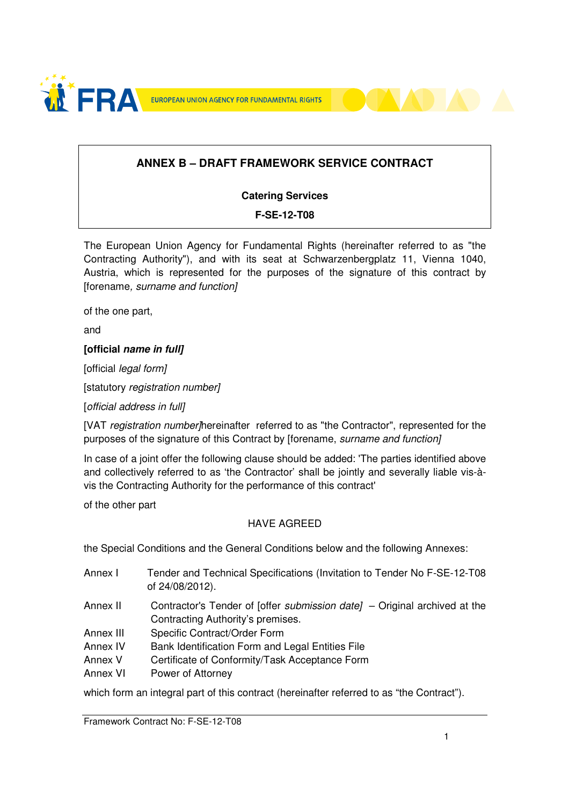

## **ANNEX B – DRAFT FRAMEWORK SERVICE CONTRACT**

#### **Catering Services**

#### **F-SE-12-T08**

The European Union Agency for Fundamental Rights (hereinafter referred to as "the Contracting Authority"), and with its seat at Schwarzenbergplatz 11, Vienna 1040, Austria, which is represented for the purposes of the signature of this contract by [forename, surname and function]

of the one part,

and

#### **[official name in full]**

[official *legal form]* 

[statutory registration number]

[official address in full]

[VAT registration number/hereinafter referred to as "the Contractor", represented for the purposes of the signature of this Contract by [forename, surname and function]

In case of a joint offer the following clause should be added: 'The parties identified above and collectively referred to as 'the Contractor' shall be jointly and severally liable vis-àvis the Contracting Authority for the performance of this contract'

of the other part

#### HAVE AGREED

the Special Conditions and the General Conditions below and the following Annexes:

- Annex I Tender and Technical Specifications (Invitation to Tender No F-SE-12-T08 of 24/08/2012). Annex II Contractor's Tender of [offer submission date] – Original archived at the
- Contracting Authority's premises.
- Annex III Specific Contract/Order Form
- Annex IV Bank Identification Form and Legal Entities File
- Annex V Certificate of Conformity/Task Acceptance Form
- Annex VI Power of Attorney

which form an integral part of this contract (hereinafter referred to as "the Contract").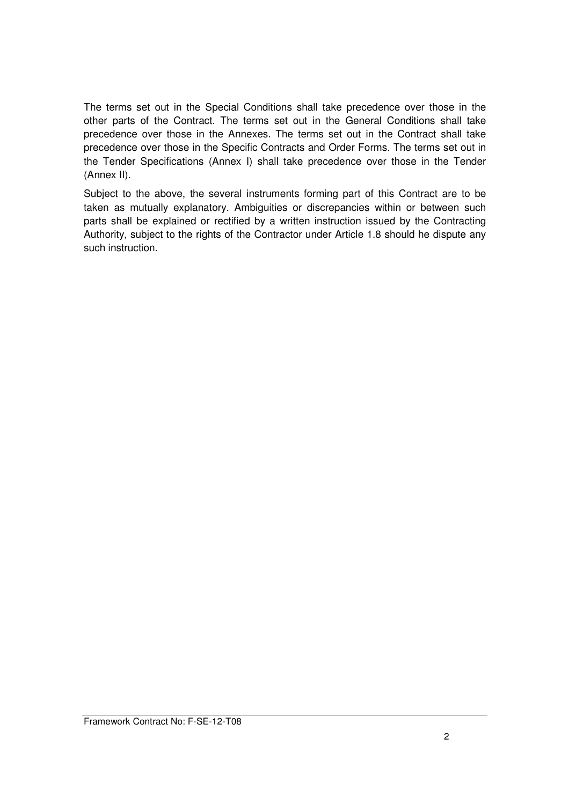The terms set out in the Special Conditions shall take precedence over those in the other parts of the Contract. The terms set out in the General Conditions shall take precedence over those in the Annexes. The terms set out in the Contract shall take precedence over those in the Specific Contracts and Order Forms. The terms set out in the Tender Specifications (Annex I) shall take precedence over those in the Tender (Annex II).

Subject to the above, the several instruments forming part of this Contract are to be taken as mutually explanatory. Ambiguities or discrepancies within or between such parts shall be explained or rectified by a written instruction issued by the Contracting Authority, subject to the rights of the Contractor under Article 1.8 should he dispute any such instruction.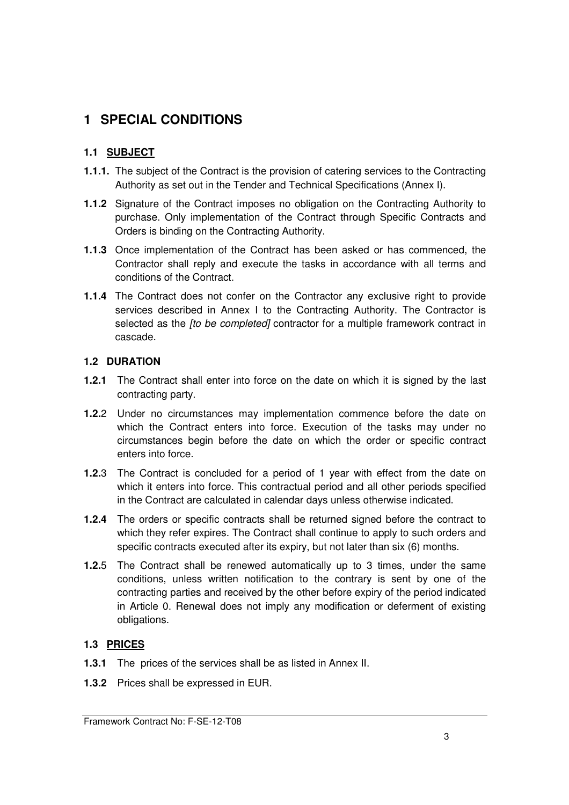# **1 SPECIAL CONDITIONS**

## **1.1 SUBJECT**

- **1.1.1.** The subject of the Contract is the provision of catering services to the Contracting Authority as set out in the Tender and Technical Specifications (Annex I).
- **1.1.2** Signature of the Contract imposes no obligation on the Contracting Authority to purchase. Only implementation of the Contract through Specific Contracts and Orders is binding on the Contracting Authority.
- **1.1.3** Once implementation of the Contract has been asked or has commenced, the Contractor shall reply and execute the tasks in accordance with all terms and conditions of the Contract.
- **1.1.4** The Contract does not confer on the Contractor any exclusive right to provide services described in Annex I to the Contracting Authority. The Contractor is selected as the *[to be completed]* contractor for a multiple framework contract in cascade.

## **1.2 DURATION**

- **1.2.1** The Contract shall enter into force on the date on which it is signed by the last contracting party.
- **1.2.**2 Under no circumstances may implementation commence before the date on which the Contract enters into force. Execution of the tasks may under no circumstances begin before the date on which the order or specific contract enters into force.
- **1.2.**3 The Contract is concluded for a period of 1 year with effect from the date on which it enters into force. This contractual period and all other periods specified in the Contract are calculated in calendar days unless otherwise indicated.
- **1.2.4** The orders or specific contracts shall be returned signed before the contract to which they refer expires. The Contract shall continue to apply to such orders and specific contracts executed after its expiry, but not later than six (6) months.
- **1.2.**5 The Contract shall be renewed automatically up to 3 times, under the same conditions, unless written notification to the contrary is sent by one of the contracting parties and received by the other before expiry of the period indicated in Article 0. Renewal does not imply any modification or deferment of existing obligations.

## **1.3 PRICES**

- **1.3.1** The prices of the services shall be as listed in Annex II.
- **1.3.2** Prices shall be expressed in EUR.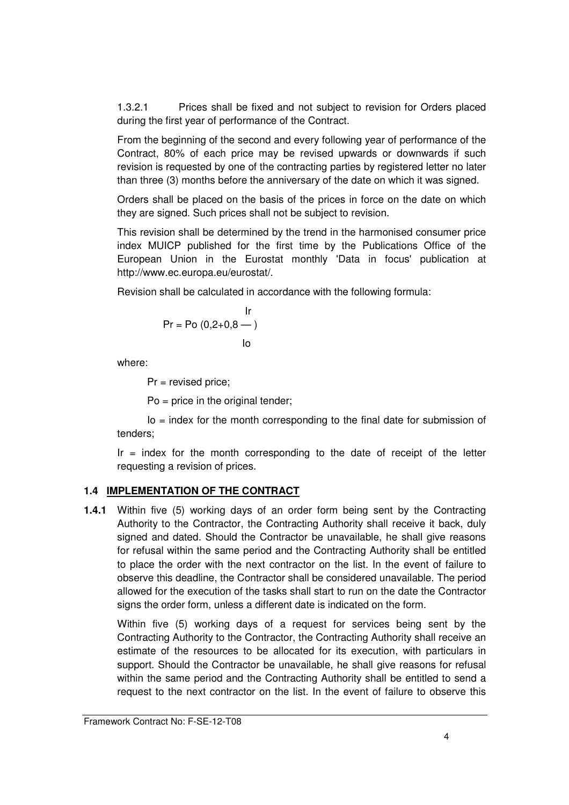1.3.2.1 Prices shall be fixed and not subject to revision for Orders placed during the first year of performance of the Contract.

From the beginning of the second and every following year of performance of the Contract, 80% of each price may be revised upwards or downwards if such revision is requested by one of the contracting parties by registered letter no later than three (3) months before the anniversary of the date on which it was signed.

Orders shall be placed on the basis of the prices in force on the date on which they are signed. Such prices shall not be subject to revision.

This revision shall be determined by the trend in the harmonised consumer price index MUICP published for the first time by the Publications Office of the European Union in the Eurostat monthly 'Data in focus' publication at http://www.ec.europa.eu/eurostat/.

Revision shall be calculated in accordance with the following formula:

$$
Pr = Po (0, 2+0, 8 - )
$$
  
lo

where:

Pr = revised price;

Po = price in the original tender;

 $Io = index$  for the month corresponding to the final date for submission of tenders;

 $Ir = index$  for the month corresponding to the date of receipt of the letter requesting a revision of prices.

## **1.4 IMPLEMENTATION OF THE CONTRACT**

**1.4.1** Within five (5) working days of an order form being sent by the Contracting Authority to the Contractor, the Contracting Authority shall receive it back, duly signed and dated. Should the Contractor be unavailable, he shall give reasons for refusal within the same period and the Contracting Authority shall be entitled to place the order with the next contractor on the list. In the event of failure to observe this deadline, the Contractor shall be considered unavailable. The period allowed for the execution of the tasks shall start to run on the date the Contractor signs the order form, unless a different date is indicated on the form.

Within five (5) working days of a request for services being sent by the Contracting Authority to the Contractor, the Contracting Authority shall receive an estimate of the resources to be allocated for its execution, with particulars in support. Should the Contractor be unavailable, he shall give reasons for refusal within the same period and the Contracting Authority shall be entitled to send a request to the next contractor on the list. In the event of failure to observe this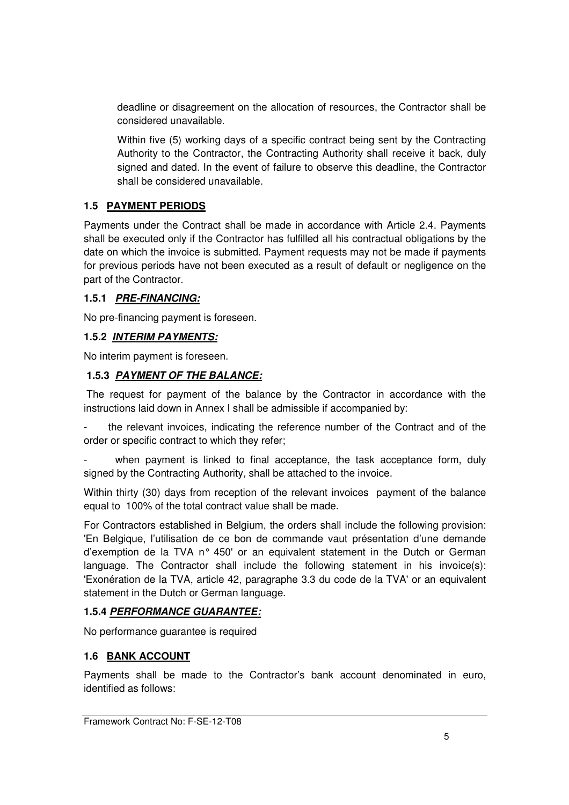deadline or disagreement on the allocation of resources, the Contractor shall be considered unavailable.

Within five (5) working days of a specific contract being sent by the Contracting Authority to the Contractor, the Contracting Authority shall receive it back, duly signed and dated. In the event of failure to observe this deadline, the Contractor shall be considered unavailable.

## **1.5 PAYMENT PERIODS**

Payments under the Contract shall be made in accordance with Article 2.4. Payments shall be executed only if the Contractor has fulfilled all his contractual obligations by the date on which the invoice is submitted. Payment requests may not be made if payments for previous periods have not been executed as a result of default or negligence on the part of the Contractor.

#### **1.5.1 PRE-FINANCING:**

No pre-financing payment is foreseen.

#### **1.5.2 INTERIM PAYMENTS:**

No interim payment is foreseen.

## **1.5.3 PAYMENT OF THE BALANCE:**

 The request for payment of the balance by the Contractor in accordance with the instructions laid down in Annex I shall be admissible if accompanied by:

the relevant invoices, indicating the reference number of the Contract and of the order or specific contract to which they refer;

when payment is linked to final acceptance, the task acceptance form, duly signed by the Contracting Authority, shall be attached to the invoice.

Within thirty (30) days from reception of the relevant invoices payment of the balance equal to 100% of the total contract value shall be made.

For Contractors established in Belgium, the orders shall include the following provision: 'En Belgique, l'utilisation de ce bon de commande vaut présentation d'une demande d'exemption de la TVA n° 450' or an equivalent statement in the Dutch or German language. The Contractor shall include the following statement in his invoice(s): 'Exonération de la TVA, article 42, paragraphe 3.3 du code de la TVA' or an equivalent statement in the Dutch or German language.

## **1.5.4 PERFORMANCE GUARANTEE:**

No performance guarantee is required

#### **1.6 BANK ACCOUNT**

Payments shall be made to the Contractor's bank account denominated in euro, identified as follows: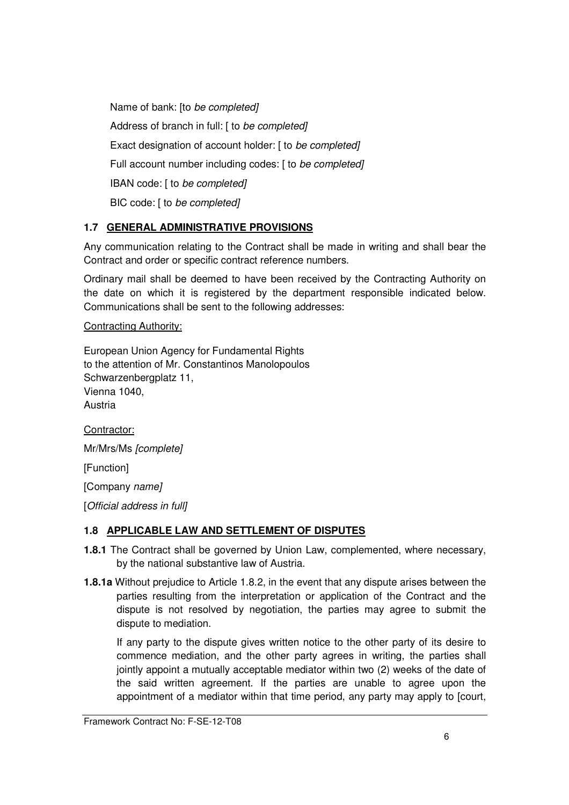Name of bank: [to be completed] Address of branch in full: [ to be completed] Exact designation of account holder: [ to be completed] Full account number including codes: [ to be completed] IBAN code: [ to be completed] BIC code: [ to be completed]

## **1.7 GENERAL ADMINISTRATIVE PROVISIONS**

Any communication relating to the Contract shall be made in writing and shall bear the Contract and order or specific contract reference numbers.

Ordinary mail shall be deemed to have been received by the Contracting Authority on the date on which it is registered by the department responsible indicated below. Communications shall be sent to the following addresses:

#### Contracting Authority:

European Union Agency for Fundamental Rights to the attention of Mr. Constantinos Manolopoulos Schwarzenbergplatz 11, Vienna 1040, Austria

Contractor:

Mr/Mrs/Ms [complete]

[Function]

[Company name]

[Official address in full]

## **1.8 APPLICABLE LAW AND SETTLEMENT OF DISPUTES**

- **1.8.1** The Contract shall be governed by Union Law, complemented, where necessary, by the national substantive law of Austria.
- **1.8.1a** Without prejudice to Article 1.8.2, in the event that any dispute arises between the parties resulting from the interpretation or application of the Contract and the dispute is not resolved by negotiation, the parties may agree to submit the dispute to mediation.

If any party to the dispute gives written notice to the other party of its desire to commence mediation, and the other party agrees in writing, the parties shall jointly appoint a mutually acceptable mediator within two (2) weeks of the date of the said written agreement. If the parties are unable to agree upon the appointment of a mediator within that time period, any party may apply to [court,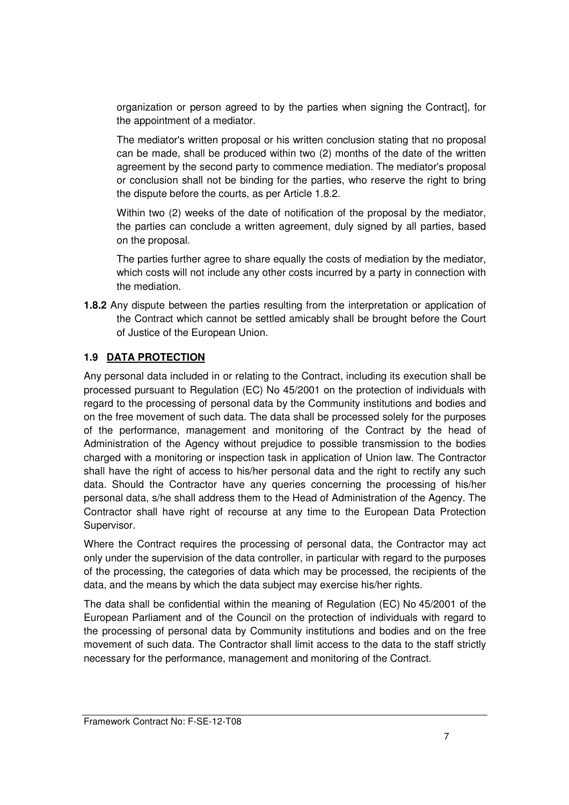organization or person agreed to by the parties when signing the Contract], for the appointment of a mediator.

The mediator's written proposal or his written conclusion stating that no proposal can be made, shall be produced within two (2) months of the date of the written agreement by the second party to commence mediation. The mediator's proposal or conclusion shall not be binding for the parties, who reserve the right to bring the dispute before the courts, as per Article 1.8.2.

Within two (2) weeks of the date of notification of the proposal by the mediator, the parties can conclude a written agreement, duly signed by all parties, based on the proposal.

The parties further agree to share equally the costs of mediation by the mediator, which costs will not include any other costs incurred by a party in connection with the mediation.

**1.8.2** Any dispute between the parties resulting from the interpretation or application of the Contract which cannot be settled amicably shall be brought before the Court of Justice of the European Union.

## **1.9 DATA PROTECTION**

Any personal data included in or relating to the Contract, including its execution shall be processed pursuant to Regulation (EC) No 45/2001 on the protection of individuals with regard to the processing of personal data by the Community institutions and bodies and on the free movement of such data. The data shall be processed solely for the purposes of the performance, management and monitoring of the Contract by the head of Administration of the Agency without prejudice to possible transmission to the bodies charged with a monitoring or inspection task in application of Union law. The Contractor shall have the right of access to his/her personal data and the right to rectify any such data. Should the Contractor have any queries concerning the processing of his/her personal data, s/he shall address them to the Head of Administration of the Agency. The Contractor shall have right of recourse at any time to the European Data Protection Supervisor.

Where the Contract requires the processing of personal data, the Contractor may act only under the supervision of the data controller, in particular with regard to the purposes of the processing, the categories of data which may be processed, the recipients of the data, and the means by which the data subject may exercise his/her rights.

The data shall be confidential within the meaning of Regulation (EC) No 45/2001 of the European Parliament and of the Council on the protection of individuals with regard to the processing of personal data by Community institutions and bodies and on the free movement of such data. The Contractor shall limit access to the data to the staff strictly necessary for the performance, management and monitoring of the Contract.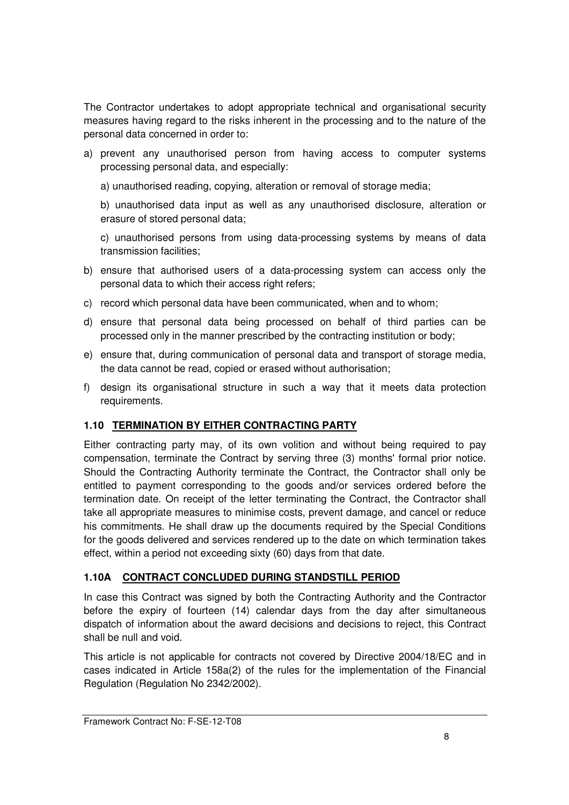The Contractor undertakes to adopt appropriate technical and organisational security measures having regard to the risks inherent in the processing and to the nature of the personal data concerned in order to:

- a) prevent any unauthorised person from having access to computer systems processing personal data, and especially:
	- a) unauthorised reading, copying, alteration or removal of storage media;

b) unauthorised data input as well as any unauthorised disclosure, alteration or erasure of stored personal data;

c) unauthorised persons from using data-processing systems by means of data transmission facilities;

- b) ensure that authorised users of a data-processing system can access only the personal data to which their access right refers;
- c) record which personal data have been communicated, when and to whom;
- d) ensure that personal data being processed on behalf of third parties can be processed only in the manner prescribed by the contracting institution or body;
- e) ensure that, during communication of personal data and transport of storage media, the data cannot be read, copied or erased without authorisation;
- f) design its organisational structure in such a way that it meets data protection requirements.

## **1.10 TERMINATION BY EITHER CONTRACTING PARTY**

Either contracting party may, of its own volition and without being required to pay compensation, terminate the Contract by serving three (3) months' formal prior notice. Should the Contracting Authority terminate the Contract, the Contractor shall only be entitled to payment corresponding to the goods and/or services ordered before the termination date. On receipt of the letter terminating the Contract, the Contractor shall take all appropriate measures to minimise costs, prevent damage, and cancel or reduce his commitments. He shall draw up the documents required by the Special Conditions for the goods delivered and services rendered up to the date on which termination takes effect, within a period not exceeding sixty (60) days from that date.

## **1.10A CONTRACT CONCLUDED DURING STANDSTILL PERIOD**

In case this Contract was signed by both the Contracting Authority and the Contractor before the expiry of fourteen (14) calendar days from the day after simultaneous dispatch of information about the award decisions and decisions to reject, this Contract shall be null and void.

This article is not applicable for contracts not covered by Directive 2004/18/EC and in cases indicated in Article 158a(2) of the rules for the implementation of the Financial Regulation (Regulation No 2342/2002).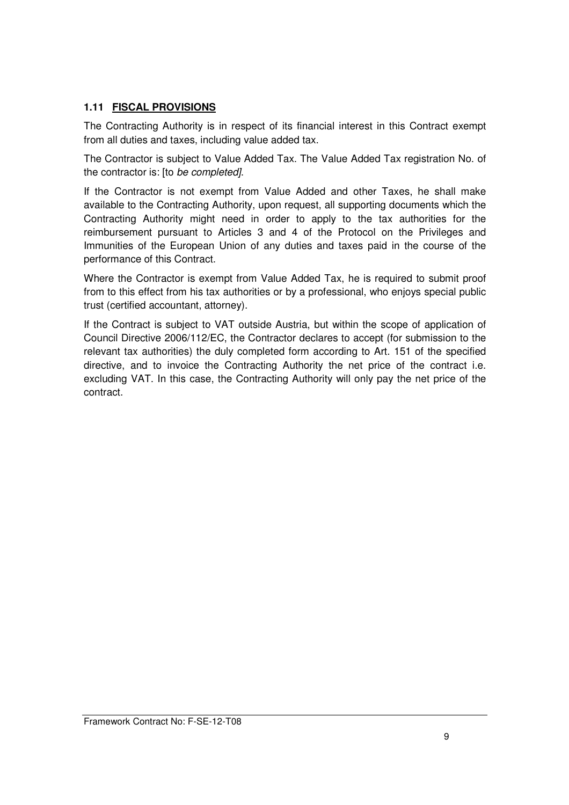## **1.11 FISCAL PROVISIONS**

The Contracting Authority is in respect of its financial interest in this Contract exempt from all duties and taxes, including value added tax.

The Contractor is subject to Value Added Tax. The Value Added Tax registration No. of the contractor is: [to be completed].

If the Contractor is not exempt from Value Added and other Taxes, he shall make available to the Contracting Authority, upon request, all supporting documents which the Contracting Authority might need in order to apply to the tax authorities for the reimbursement pursuant to Articles 3 and 4 of the Protocol on the Privileges and Immunities of the European Union of any duties and taxes paid in the course of the performance of this Contract.

Where the Contractor is exempt from Value Added Tax, he is required to submit proof from to this effect from his tax authorities or by a professional, who enjoys special public trust (certified accountant, attorney).

If the Contract is subject to VAT outside Austria, but within the scope of application of Council Directive 2006/112/EC, the Contractor declares to accept (for submission to the relevant tax authorities) the duly completed form according to Art. 151 of the specified directive, and to invoice the Contracting Authority the net price of the contract i.e. excluding VAT. In this case, the Contracting Authority will only pay the net price of the contract.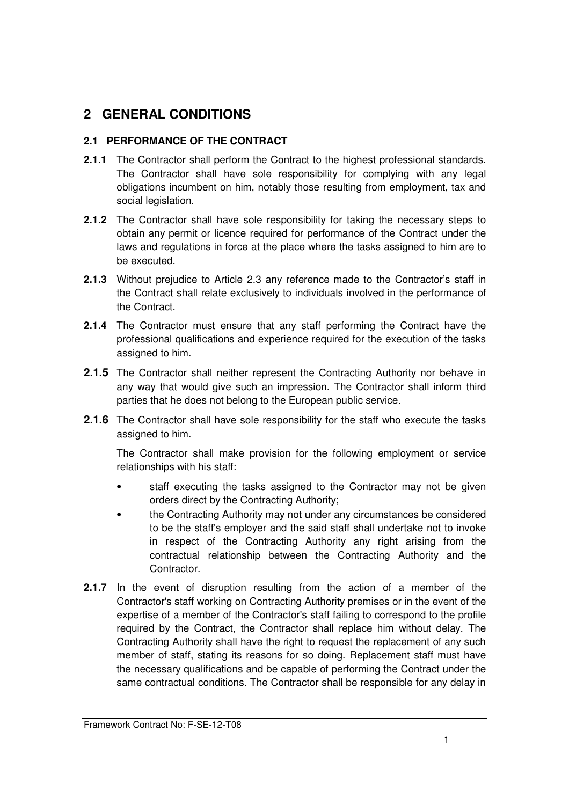# **2 GENERAL CONDITIONS**

## **2.1 PERFORMANCE OF THE CONTRACT**

- **2.1.1** The Contractor shall perform the Contract to the highest professional standards. The Contractor shall have sole responsibility for complying with any legal obligations incumbent on him, notably those resulting from employment, tax and social legislation.
- **2.1.2** The Contractor shall have sole responsibility for taking the necessary steps to obtain any permit or licence required for performance of the Contract under the laws and regulations in force at the place where the tasks assigned to him are to be executed.
- **2.1.3** Without prejudice to Article 2.3 any reference made to the Contractor's staff in the Contract shall relate exclusively to individuals involved in the performance of the Contract.
- **2.1.4** The Contractor must ensure that any staff performing the Contract have the professional qualifications and experience required for the execution of the tasks assigned to him.
- **2.1.5** The Contractor shall neither represent the Contracting Authority nor behave in any way that would give such an impression. The Contractor shall inform third parties that he does not belong to the European public service.
- **2.1.6** The Contractor shall have sole responsibility for the staff who execute the tasks assigned to him.

The Contractor shall make provision for the following employment or service relationships with his staff:

- staff executing the tasks assigned to the Contractor may not be given orders direct by the Contracting Authority;
- the Contracting Authority may not under any circumstances be considered to be the staff's employer and the said staff shall undertake not to invoke in respect of the Contracting Authority any right arising from the contractual relationship between the Contracting Authority and the Contractor.
- **2.1.7** In the event of disruption resulting from the action of a member of the Contractor's staff working on Contracting Authority premises or in the event of the expertise of a member of the Contractor's staff failing to correspond to the profile required by the Contract, the Contractor shall replace him without delay. The Contracting Authority shall have the right to request the replacement of any such member of staff, stating its reasons for so doing. Replacement staff must have the necessary qualifications and be capable of performing the Contract under the same contractual conditions. The Contractor shall be responsible for any delay in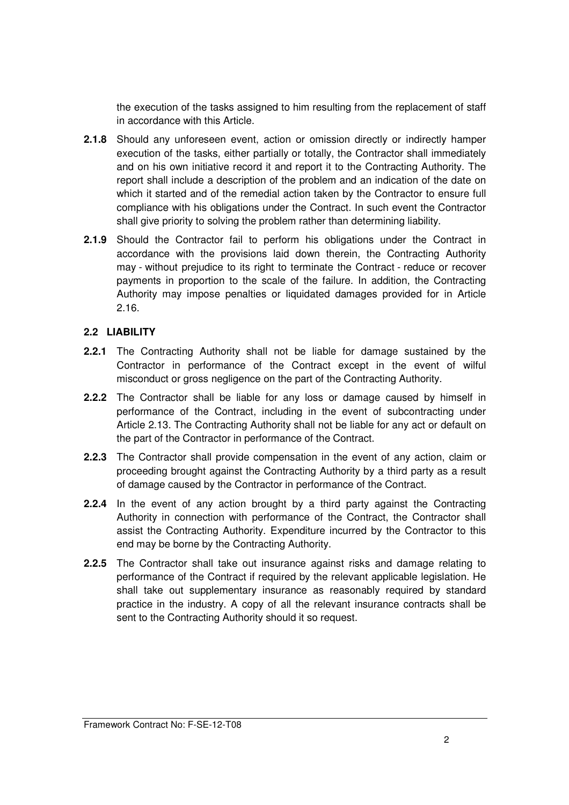the execution of the tasks assigned to him resulting from the replacement of staff in accordance with this Article.

- **2.1.8** Should any unforeseen event, action or omission directly or indirectly hamper execution of the tasks, either partially or totally, the Contractor shall immediately and on his own initiative record it and report it to the Contracting Authority. The report shall include a description of the problem and an indication of the date on which it started and of the remedial action taken by the Contractor to ensure full compliance with his obligations under the Contract. In such event the Contractor shall give priority to solving the problem rather than determining liability.
- **2.1.9** Should the Contractor fail to perform his obligations under the Contract in accordance with the provisions laid down therein, the Contracting Authority may - without prejudice to its right to terminate the Contract - reduce or recover payments in proportion to the scale of the failure. In addition, the Contracting Authority may impose penalties or liquidated damages provided for in Article 2.16.

## **2.2 LIABILITY**

- **2.2.1** The Contracting Authority shall not be liable for damage sustained by the Contractor in performance of the Contract except in the event of wilful misconduct or gross negligence on the part of the Contracting Authority.
- **2.2.2** The Contractor shall be liable for any loss or damage caused by himself in performance of the Contract, including in the event of subcontracting under Article 2.13. The Contracting Authority shall not be liable for any act or default on the part of the Contractor in performance of the Contract.
- **2.2.3** The Contractor shall provide compensation in the event of any action, claim or proceeding brought against the Contracting Authority by a third party as a result of damage caused by the Contractor in performance of the Contract.
- **2.2.4** In the event of any action brought by a third party against the Contracting Authority in connection with performance of the Contract, the Contractor shall assist the Contracting Authority. Expenditure incurred by the Contractor to this end may be borne by the Contracting Authority.
- **2.2.5** The Contractor shall take out insurance against risks and damage relating to performance of the Contract if required by the relevant applicable legislation. He shall take out supplementary insurance as reasonably required by standard practice in the industry. A copy of all the relevant insurance contracts shall be sent to the Contracting Authority should it so request.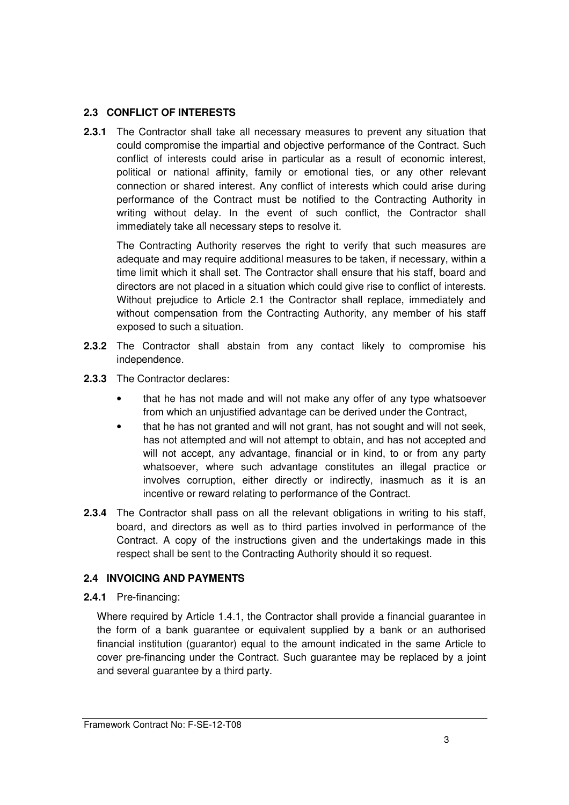## **2.3 CONFLICT OF INTERESTS**

**2.3.1** The Contractor shall take all necessary measures to prevent any situation that could compromise the impartial and objective performance of the Contract. Such conflict of interests could arise in particular as a result of economic interest, political or national affinity, family or emotional ties, or any other relevant connection or shared interest. Any conflict of interests which could arise during performance of the Contract must be notified to the Contracting Authority in writing without delay. In the event of such conflict, the Contractor shall immediately take all necessary steps to resolve it.

 The Contracting Authority reserves the right to verify that such measures are adequate and may require additional measures to be taken, if necessary, within a time limit which it shall set. The Contractor shall ensure that his staff, board and directors are not placed in a situation which could give rise to conflict of interests. Without prejudice to Article 2.1 the Contractor shall replace, immediately and without compensation from the Contracting Authority, any member of his staff exposed to such a situation.

- **2.3.2** The Contractor shall abstain from any contact likely to compromise his independence.
- **2.3.3** The Contractor declares:
	- that he has not made and will not make any offer of any type whatsoever from which an unjustified advantage can be derived under the Contract,
	- that he has not granted and will not grant, has not sought and will not seek, has not attempted and will not attempt to obtain, and has not accepted and will not accept, any advantage, financial or in kind, to or from any party whatsoever, where such advantage constitutes an illegal practice or involves corruption, either directly or indirectly, inasmuch as it is an incentive or reward relating to performance of the Contract.
- **2.3.4** The Contractor shall pass on all the relevant obligations in writing to his staff, board, and directors as well as to third parties involved in performance of the Contract. A copy of the instructions given and the undertakings made in this respect shall be sent to the Contracting Authority should it so request.

## **2.4 INVOICING AND PAYMENTS**

**2.4.1** Pre-financing:

Where required by Article 1.4.1, the Contractor shall provide a financial guarantee in the form of a bank guarantee or equivalent supplied by a bank or an authorised financial institution (guarantor) equal to the amount indicated in the same Article to cover pre-financing under the Contract. Such guarantee may be replaced by a joint and several guarantee by a third party.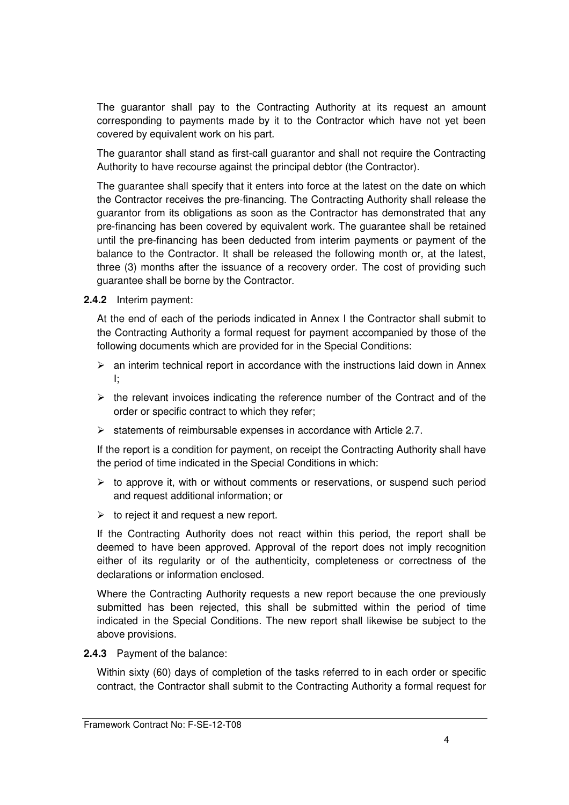The guarantor shall pay to the Contracting Authority at its request an amount corresponding to payments made by it to the Contractor which have not yet been covered by equivalent work on his part.

The guarantor shall stand as first-call guarantor and shall not require the Contracting Authority to have recourse against the principal debtor (the Contractor).

The guarantee shall specify that it enters into force at the latest on the date on which the Contractor receives the pre-financing. The Contracting Authority shall release the guarantor from its obligations as soon as the Contractor has demonstrated that any pre-financing has been covered by equivalent work. The guarantee shall be retained until the pre-financing has been deducted from interim payments or payment of the balance to the Contractor. It shall be released the following month or, at the latest, three (3) months after the issuance of a recovery order. The cost of providing such guarantee shall be borne by the Contractor.

**2.4.2** Interim payment:

At the end of each of the periods indicated in Annex I the Contractor shall submit to the Contracting Authority a formal request for payment accompanied by those of the following documents which are provided for in the Special Conditions:

- $\triangleright$  an interim technical report in accordance with the instructions laid down in Annex I;
- $\triangleright$  the relevant invoices indicating the reference number of the Contract and of the order or specific contract to which they refer;
- $\triangleright$  statements of reimbursable expenses in accordance with Article 2.7.

If the report is a condition for payment, on receipt the Contracting Authority shall have the period of time indicated in the Special Conditions in which:

- $\triangleright$  to approve it, with or without comments or reservations, or suspend such period and request additional information; or
- $\triangleright$  to reject it and request a new report.

If the Contracting Authority does not react within this period, the report shall be deemed to have been approved. Approval of the report does not imply recognition either of its regularity or of the authenticity, completeness or correctness of the declarations or information enclosed.

Where the Contracting Authority requests a new report because the one previously submitted has been rejected, this shall be submitted within the period of time indicated in the Special Conditions. The new report shall likewise be subject to the above provisions.

**2.4.3** Payment of the balance:

Within sixty (60) days of completion of the tasks referred to in each order or specific contract, the Contractor shall submit to the Contracting Authority a formal request for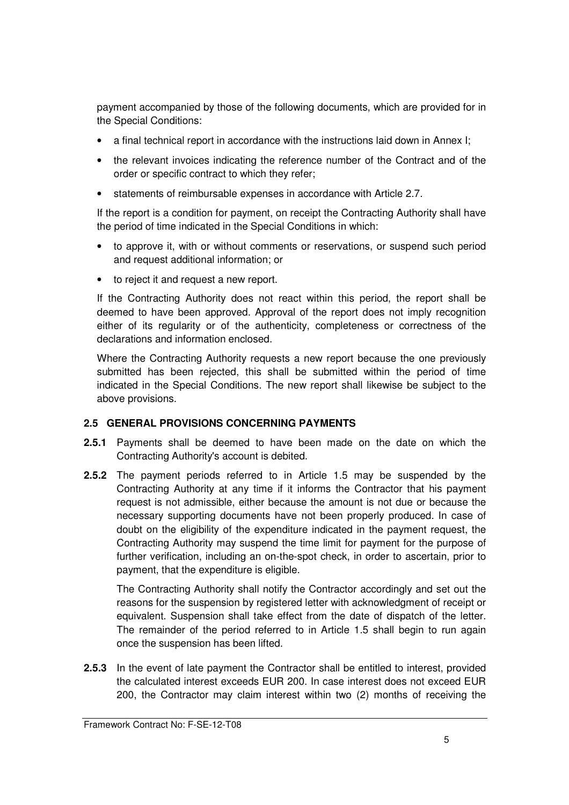payment accompanied by those of the following documents, which are provided for in the Special Conditions:

- a final technical report in accordance with the instructions laid down in Annex I;
- the relevant invoices indicating the reference number of the Contract and of the order or specific contract to which they refer;
- statements of reimbursable expenses in accordance with Article 2.7.

If the report is a condition for payment, on receipt the Contracting Authority shall have the period of time indicated in the Special Conditions in which:

- to approve it, with or without comments or reservations, or suspend such period and request additional information; or
- to reject it and request a new report.

If the Contracting Authority does not react within this period, the report shall be deemed to have been approved. Approval of the report does not imply recognition either of its regularity or of the authenticity, completeness or correctness of the declarations and information enclosed.

Where the Contracting Authority requests a new report because the one previously submitted has been rejected, this shall be submitted within the period of time indicated in the Special Conditions. The new report shall likewise be subject to the above provisions.

## **2.5 GENERAL PROVISIONS CONCERNING PAYMENTS**

- **2.5.1** Payments shall be deemed to have been made on the date on which the Contracting Authority's account is debited.
- **2.5.2** The payment periods referred to in Article 1.5 may be suspended by the Contracting Authority at any time if it informs the Contractor that his payment request is not admissible, either because the amount is not due or because the necessary supporting documents have not been properly produced. In case of doubt on the eligibility of the expenditure indicated in the payment request, the Contracting Authority may suspend the time limit for payment for the purpose of further verification, including an on-the-spot check, in order to ascertain, prior to payment, that the expenditure is eligible.

The Contracting Authority shall notify the Contractor accordingly and set out the reasons for the suspension by registered letter with acknowledgment of receipt or equivalent. Suspension shall take effect from the date of dispatch of the letter. The remainder of the period referred to in Article 1.5 shall begin to run again once the suspension has been lifted.

**2.5.3** In the event of late payment the Contractor shall be entitled to interest, provided the calculated interest exceeds EUR 200. In case interest does not exceed EUR 200, the Contractor may claim interest within two (2) months of receiving the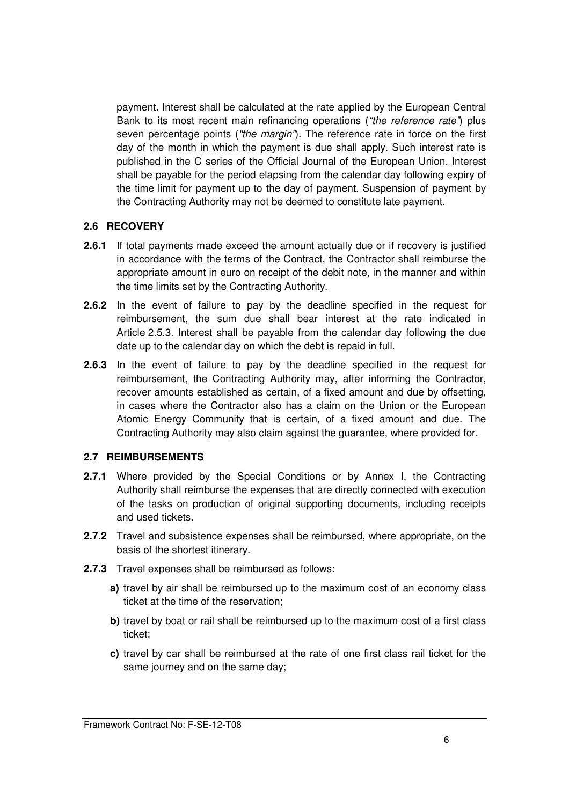payment. Interest shall be calculated at the rate applied by the European Central Bank to its most recent main refinancing operations ("the reference rate") plus seven percentage points ("the margin"). The reference rate in force on the first day of the month in which the payment is due shall apply. Such interest rate is published in the C series of the Official Journal of the European Union. Interest shall be payable for the period elapsing from the calendar day following expiry of the time limit for payment up to the day of payment. Suspension of payment by the Contracting Authority may not be deemed to constitute late payment.

#### **2.6 RECOVERY**

- **2.6.1** If total payments made exceed the amount actually due or if recovery is justified in accordance with the terms of the Contract, the Contractor shall reimburse the appropriate amount in euro on receipt of the debit note, in the manner and within the time limits set by the Contracting Authority.
- **2.6.2** In the event of failure to pay by the deadline specified in the request for reimbursement, the sum due shall bear interest at the rate indicated in Article 2.5.3. Interest shall be payable from the calendar day following the due date up to the calendar day on which the debt is repaid in full.
- **2.6.3** In the event of failure to pay by the deadline specified in the request for reimbursement, the Contracting Authority may, after informing the Contractor, recover amounts established as certain, of a fixed amount and due by offsetting, in cases where the Contractor also has a claim on the Union or the European Atomic Energy Community that is certain, of a fixed amount and due. The Contracting Authority may also claim against the guarantee, where provided for.

#### **2.7 REIMBURSEMENTS**

- **2.7.1** Where provided by the Special Conditions or by Annex I, the Contracting Authority shall reimburse the expenses that are directly connected with execution of the tasks on production of original supporting documents, including receipts and used tickets.
- **2.7.2** Travel and subsistence expenses shall be reimbursed, where appropriate, on the basis of the shortest itinerary.
- **2.7.3** Travel expenses shall be reimbursed as follows:
	- **a)** travel by air shall be reimbursed up to the maximum cost of an economy class ticket at the time of the reservation;
	- **b)** travel by boat or rail shall be reimbursed up to the maximum cost of a first class ticket;
	- **c)** travel by car shall be reimbursed at the rate of one first class rail ticket for the same journey and on the same day;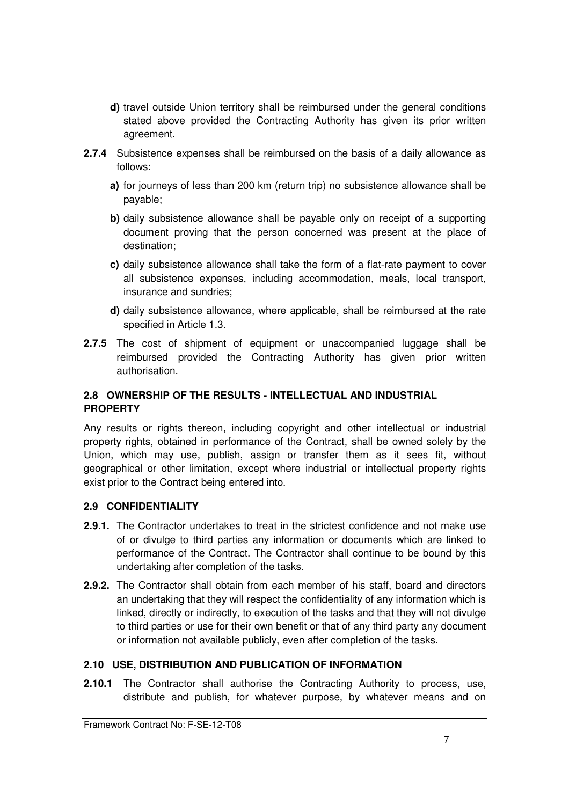- **d)** travel outside Union territory shall be reimbursed under the general conditions stated above provided the Contracting Authority has given its prior written agreement.
- **2.7.4** Subsistence expenses shall be reimbursed on the basis of a daily allowance as follows:
	- **a)** for journeys of less than 200 km (return trip) no subsistence allowance shall be payable;
	- **b)** daily subsistence allowance shall be payable only on receipt of a supporting document proving that the person concerned was present at the place of destination;
	- **c)** daily subsistence allowance shall take the form of a flat-rate payment to cover all subsistence expenses, including accommodation, meals, local transport, insurance and sundries;
	- **d)** daily subsistence allowance, where applicable, shall be reimbursed at the rate specified in Article 1.3.
- **2.7.5** The cost of shipment of equipment or unaccompanied luggage shall be reimbursed provided the Contracting Authority has given prior written authorisation.

## **2.8 OWNERSHIP OF THE RESULTS - INTELLECTUAL AND INDUSTRIAL PROPERTY**

Any results or rights thereon, including copyright and other intellectual or industrial property rights, obtained in performance of the Contract, shall be owned solely by the Union, which may use, publish, assign or transfer them as it sees fit, without geographical or other limitation, except where industrial or intellectual property rights exist prior to the Contract being entered into.

## **2.9 CONFIDENTIALITY**

- **2.9.1.** The Contractor undertakes to treat in the strictest confidence and not make use of or divulge to third parties any information or documents which are linked to performance of the Contract. The Contractor shall continue to be bound by this undertaking after completion of the tasks.
- **2.9.2.** The Contractor shall obtain from each member of his staff, board and directors an undertaking that they will respect the confidentiality of any information which is linked, directly or indirectly, to execution of the tasks and that they will not divulge to third parties or use for their own benefit or that of any third party any document or information not available publicly, even after completion of the tasks.

## **2.10 USE, DISTRIBUTION AND PUBLICATION OF INFORMATION**

**2.10.1** The Contractor shall authorise the Contracting Authority to process, use, distribute and publish, for whatever purpose, by whatever means and on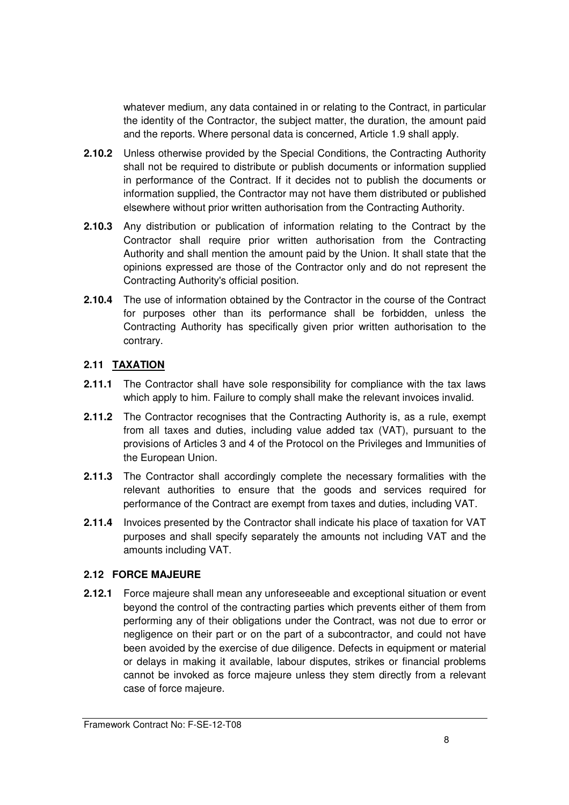whatever medium, any data contained in or relating to the Contract, in particular the identity of the Contractor, the subject matter, the duration, the amount paid and the reports. Where personal data is concerned, Article 1.9 shall apply.

- **2.10.2** Unless otherwise provided by the Special Conditions, the Contracting Authority shall not be required to distribute or publish documents or information supplied in performance of the Contract. If it decides not to publish the documents or information supplied, the Contractor may not have them distributed or published elsewhere without prior written authorisation from the Contracting Authority.
- **2.10.3** Any distribution or publication of information relating to the Contract by the Contractor shall require prior written authorisation from the Contracting Authority and shall mention the amount paid by the Union. It shall state that the opinions expressed are those of the Contractor only and do not represent the Contracting Authority's official position.
- **2.10.4** The use of information obtained by the Contractor in the course of the Contract for purposes other than its performance shall be forbidden, unless the Contracting Authority has specifically given prior written authorisation to the contrary.

## **2.11 TAXATION**

- **2.11.1** The Contractor shall have sole responsibility for compliance with the tax laws which apply to him. Failure to comply shall make the relevant invoices invalid.
- **2.11.2** The Contractor recognises that the Contracting Authority is, as a rule, exempt from all taxes and duties, including value added tax (VAT), pursuant to the provisions of Articles 3 and 4 of the Protocol on the Privileges and Immunities of the European Union.
- **2.11.3** The Contractor shall accordingly complete the necessary formalities with the relevant authorities to ensure that the goods and services required for performance of the Contract are exempt from taxes and duties, including VAT.
- **2.11.4** Invoices presented by the Contractor shall indicate his place of taxation for VAT purposes and shall specify separately the amounts not including VAT and the amounts including VAT.

## **2.12 FORCE MAJEURE**

**2.12.1** Force majeure shall mean any unforeseeable and exceptional situation or event beyond the control of the contracting parties which prevents either of them from performing any of their obligations under the Contract, was not due to error or negligence on their part or on the part of a subcontractor, and could not have been avoided by the exercise of due diligence. Defects in equipment or material or delays in making it available, labour disputes, strikes or financial problems cannot be invoked as force majeure unless they stem directly from a relevant case of force majeure.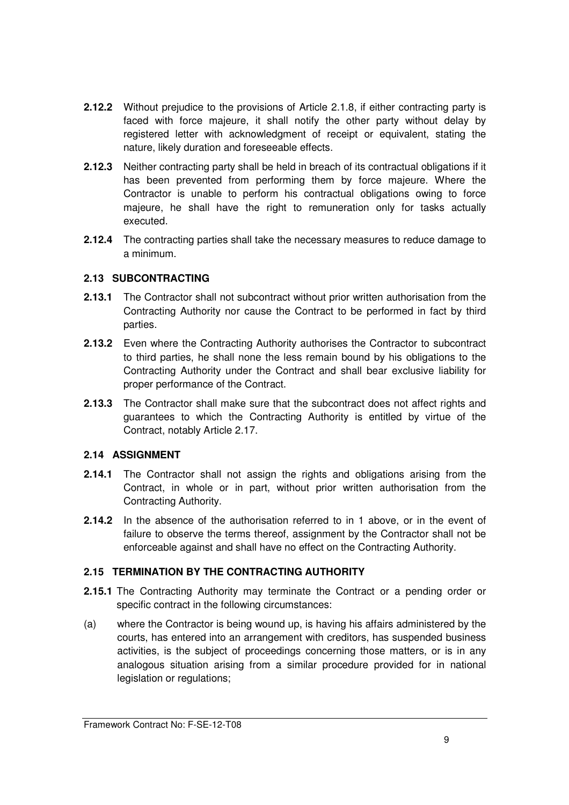- **2.12.2** Without prejudice to the provisions of Article 2.1.8, if either contracting party is faced with force majeure, it shall notify the other party without delay by registered letter with acknowledgment of receipt or equivalent, stating the nature, likely duration and foreseeable effects.
- **2.12.3** Neither contracting party shall be held in breach of its contractual obligations if it has been prevented from performing them by force majeure. Where the Contractor is unable to perform his contractual obligations owing to force majeure, he shall have the right to remuneration only for tasks actually executed.
- **2.12.4** The contracting parties shall take the necessary measures to reduce damage to a minimum.

## **2.13 SUBCONTRACTING**

- **2.13.1** The Contractor shall not subcontract without prior written authorisation from the Contracting Authority nor cause the Contract to be performed in fact by third parties.
- **2.13.2** Even where the Contracting Authority authorises the Contractor to subcontract to third parties, he shall none the less remain bound by his obligations to the Contracting Authority under the Contract and shall bear exclusive liability for proper performance of the Contract.
- **2.13.3** The Contractor shall make sure that the subcontract does not affect rights and guarantees to which the Contracting Authority is entitled by virtue of the Contract, notably Article 2.17.

## **2.14 ASSIGNMENT**

- **2.14.1** The Contractor shall not assign the rights and obligations arising from the Contract, in whole or in part, without prior written authorisation from the Contracting Authority.
- **2.14.2** In the absence of the authorisation referred to in 1 above, or in the event of failure to observe the terms thereof, assignment by the Contractor shall not be enforceable against and shall have no effect on the Contracting Authority.

## **2.15 TERMINATION BY THE CONTRACTING AUTHORITY**

- **2.15.1** The Contracting Authority may terminate the Contract or a pending order or specific contract in the following circumstances:
- (a) where the Contractor is being wound up, is having his affairs administered by the courts, has entered into an arrangement with creditors, has suspended business activities, is the subject of proceedings concerning those matters, or is in any analogous situation arising from a similar procedure provided for in national legislation or regulations;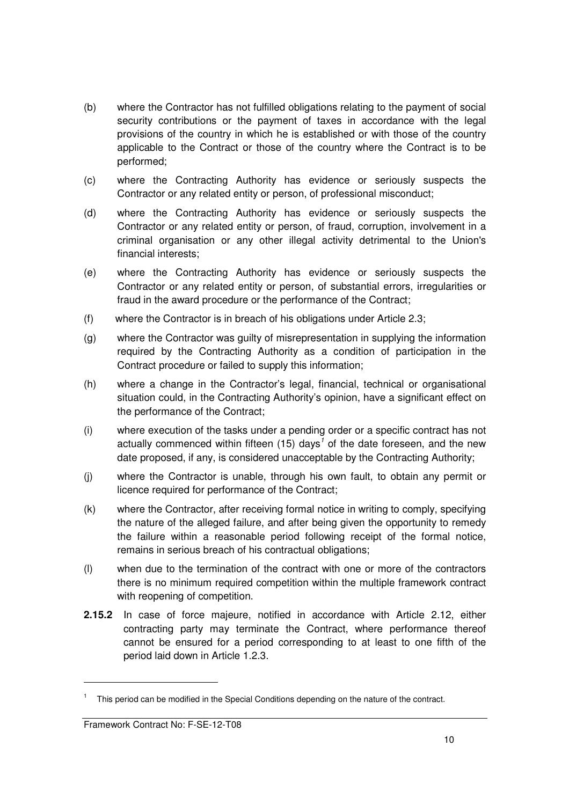- (b) where the Contractor has not fulfilled obligations relating to the payment of social security contributions or the payment of taxes in accordance with the legal provisions of the country in which he is established or with those of the country applicable to the Contract or those of the country where the Contract is to be performed;
- (c) where the Contracting Authority has evidence or seriously suspects the Contractor or any related entity or person, of professional misconduct;
- (d) where the Contracting Authority has evidence or seriously suspects the Contractor or any related entity or person, of fraud, corruption, involvement in a criminal organisation or any other illegal activity detrimental to the Union's financial interests;
- (e) where the Contracting Authority has evidence or seriously suspects the Contractor or any related entity or person, of substantial errors, irregularities or fraud in the award procedure or the performance of the Contract;
- (f) where the Contractor is in breach of his obligations under Article 2.3;
- (g) where the Contractor was guilty of misrepresentation in supplying the information required by the Contracting Authority as a condition of participation in the Contract procedure or failed to supply this information;
- (h) where a change in the Contractor's legal, financial, technical or organisational situation could, in the Contracting Authority's opinion, have a significant effect on the performance of the Contract;
- (i) where execution of the tasks under a pending order or a specific contract has not actually commenced within fifteen (15) days<sup>1</sup> of the date foreseen, and the new date proposed, if any, is considered unacceptable by the Contracting Authority;
- (j) where the Contractor is unable, through his own fault, to obtain any permit or licence required for performance of the Contract;
- (k) where the Contractor, after receiving formal notice in writing to comply, specifying the nature of the alleged failure, and after being given the opportunity to remedy the failure within a reasonable period following receipt of the formal notice, remains in serious breach of his contractual obligations;
- (l) when due to the termination of the contract with one or more of the contractors there is no minimum required competition within the multiple framework contract with reopening of competition.
- **2.15.2** In case of force majeure, notified in accordance with Article 2.12, either contracting party may terminate the Contract, where performance thereof cannot be ensured for a period corresponding to at least to one fifth of the period laid down in Article 1.2.3.

-

<sup>&</sup>lt;sup>1</sup> This period can be modified in the Special Conditions depending on the nature of the contract.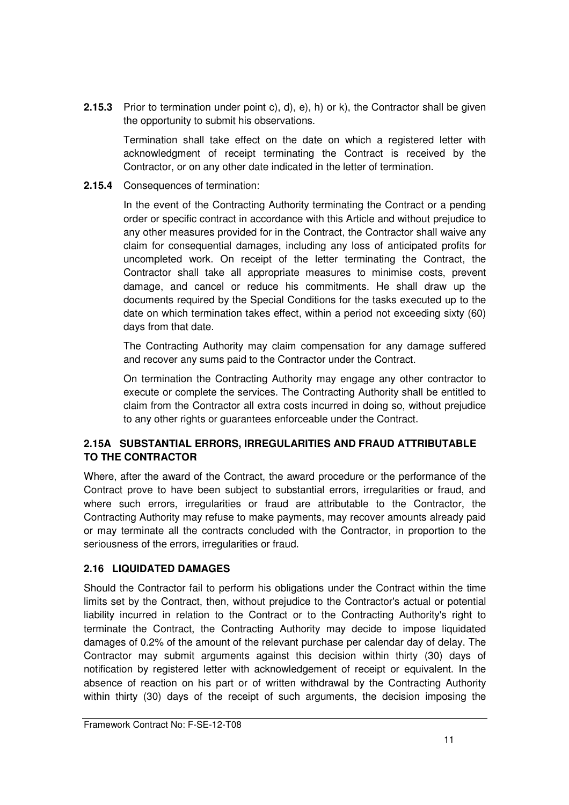**2.15.3** Prior to termination under point c), d), e), h) or k), the Contractor shall be given the opportunity to submit his observations.

Termination shall take effect on the date on which a registered letter with acknowledgment of receipt terminating the Contract is received by the Contractor, or on any other date indicated in the letter of termination.

**2.15.4** Consequences of termination:

In the event of the Contracting Authority terminating the Contract or a pending order or specific contract in accordance with this Article and without prejudice to any other measures provided for in the Contract, the Contractor shall waive any claim for consequential damages, including any loss of anticipated profits for uncompleted work. On receipt of the letter terminating the Contract, the Contractor shall take all appropriate measures to minimise costs, prevent damage, and cancel or reduce his commitments. He shall draw up the documents required by the Special Conditions for the tasks executed up to the date on which termination takes effect, within a period not exceeding sixty (60) days from that date.

The Contracting Authority may claim compensation for any damage suffered and recover any sums paid to the Contractor under the Contract.

On termination the Contracting Authority may engage any other contractor to execute or complete the services. The Contracting Authority shall be entitled to claim from the Contractor all extra costs incurred in doing so, without prejudice to any other rights or guarantees enforceable under the Contract.

## **2.15A SUBSTANTIAL ERRORS, IRREGULARITIES AND FRAUD ATTRIBUTABLE TO THE CONTRACTOR**

Where, after the award of the Contract, the award procedure or the performance of the Contract prove to have been subject to substantial errors, irregularities or fraud, and where such errors, irregularities or fraud are attributable to the Contractor, the Contracting Authority may refuse to make payments, may recover amounts already paid or may terminate all the contracts concluded with the Contractor, in proportion to the seriousness of the errors, irregularities or fraud.

## **2.16 LIQUIDATED DAMAGES**

Should the Contractor fail to perform his obligations under the Contract within the time limits set by the Contract, then, without prejudice to the Contractor's actual or potential liability incurred in relation to the Contract or to the Contracting Authority's right to terminate the Contract, the Contracting Authority may decide to impose liquidated damages of 0.2% of the amount of the relevant purchase per calendar day of delay. The Contractor may submit arguments against this decision within thirty (30) days of notification by registered letter with acknowledgement of receipt or equivalent. In the absence of reaction on his part or of written withdrawal by the Contracting Authority within thirty (30) days of the receipt of such arguments, the decision imposing the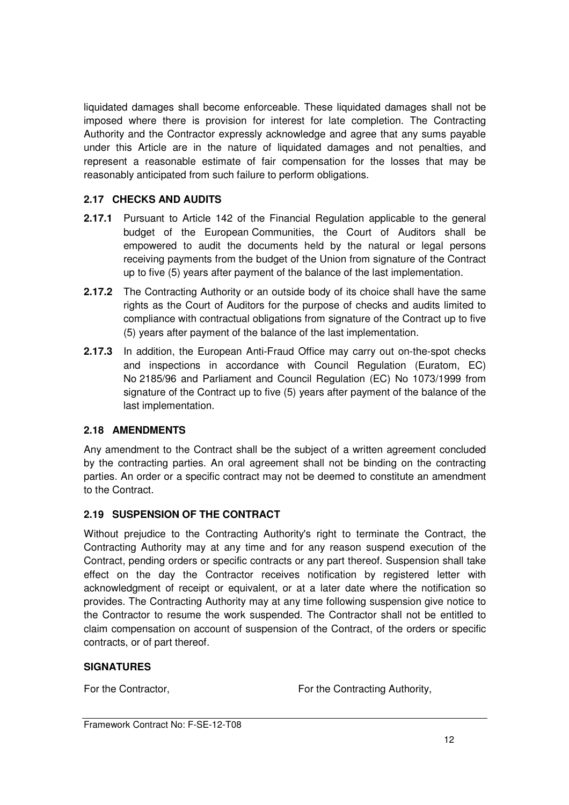liquidated damages shall become enforceable. These liquidated damages shall not be imposed where there is provision for interest for late completion. The Contracting Authority and the Contractor expressly acknowledge and agree that any sums payable under this Article are in the nature of liquidated damages and not penalties, and represent a reasonable estimate of fair compensation for the losses that may be reasonably anticipated from such failure to perform obligations.

## **2.17 CHECKS AND AUDITS**

- **2.17.1** Pursuant to Article 142 of the Financial Regulation applicable to the general budget of the European Communities, the Court of Auditors shall be empowered to audit the documents held by the natural or legal persons receiving payments from the budget of the Union from signature of the Contract up to five (5) years after payment of the balance of the last implementation.
- **2.17.2** The Contracting Authority or an outside body of its choice shall have the same rights as the Court of Auditors for the purpose of checks and audits limited to compliance with contractual obligations from signature of the Contract up to five (5) years after payment of the balance of the last implementation.
- **2.17.3** In addition, the European Anti-Fraud Office may carry out on-the-spot checks and inspections in accordance with Council Regulation (Euratom, EC) No 2185/96 and Parliament and Council Regulation (EC) No 1073/1999 from signature of the Contract up to five (5) years after payment of the balance of the last implementation.

## **2.18 AMENDMENTS**

Any amendment to the Contract shall be the subject of a written agreement concluded by the contracting parties. An oral agreement shall not be binding on the contracting parties. An order or a specific contract may not be deemed to constitute an amendment to the Contract.

## **2.19 SUSPENSION OF THE CONTRACT**

Without prejudice to the Contracting Authority's right to terminate the Contract, the Contracting Authority may at any time and for any reason suspend execution of the Contract, pending orders or specific contracts or any part thereof. Suspension shall take effect on the day the Contractor receives notification by registered letter with acknowledgment of receipt or equivalent, or at a later date where the notification so provides. The Contracting Authority may at any time following suspension give notice to the Contractor to resume the work suspended. The Contractor shall not be entitled to claim compensation on account of suspension of the Contract, of the orders or specific contracts, or of part thereof.

## **SIGNATURES**

For the Contractor, **For the Contracting Authority,** For the Contracting Authority,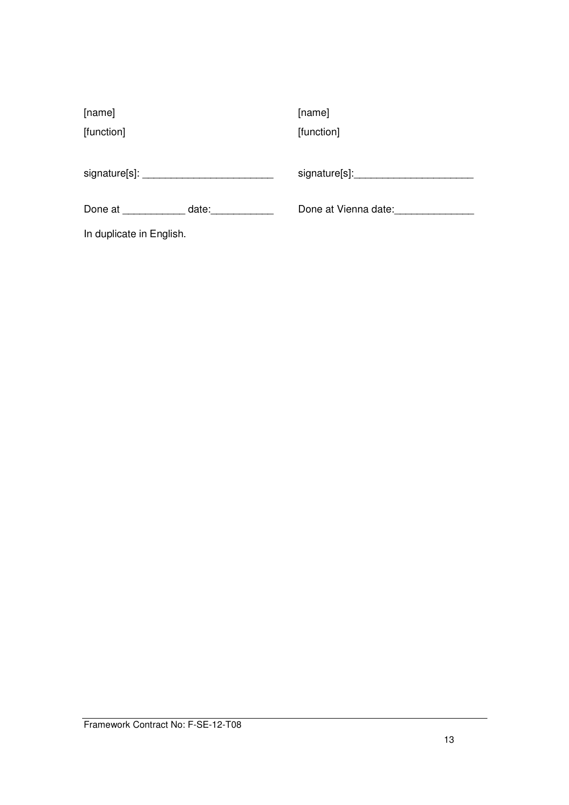| [name]                   |       | [name]               |
|--------------------------|-------|----------------------|
| [function]               |       | [function]           |
|                          |       |                      |
|                          |       | signature[s]:        |
| Done at                  | date: | Done at Vienna date: |
| In duplicate in English. |       |                      |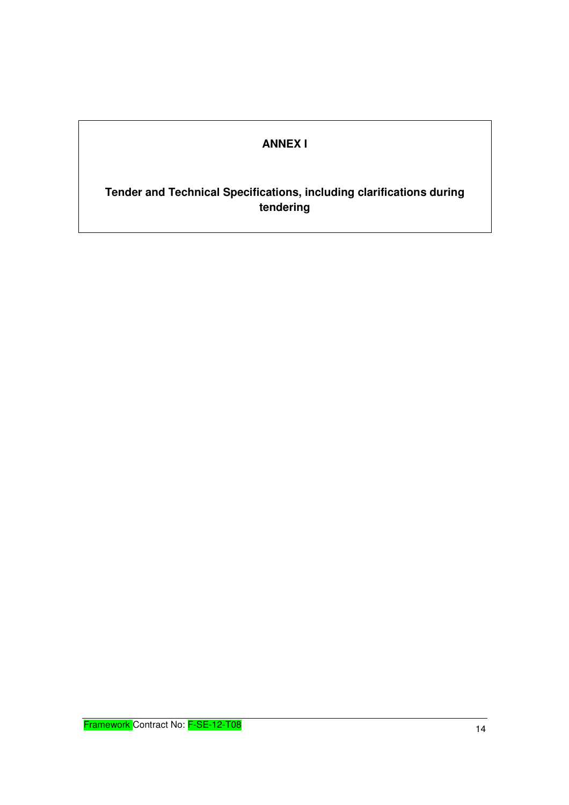# **ANNEX I**

## **Tender and Technical Specifications, including clarifications during tendering**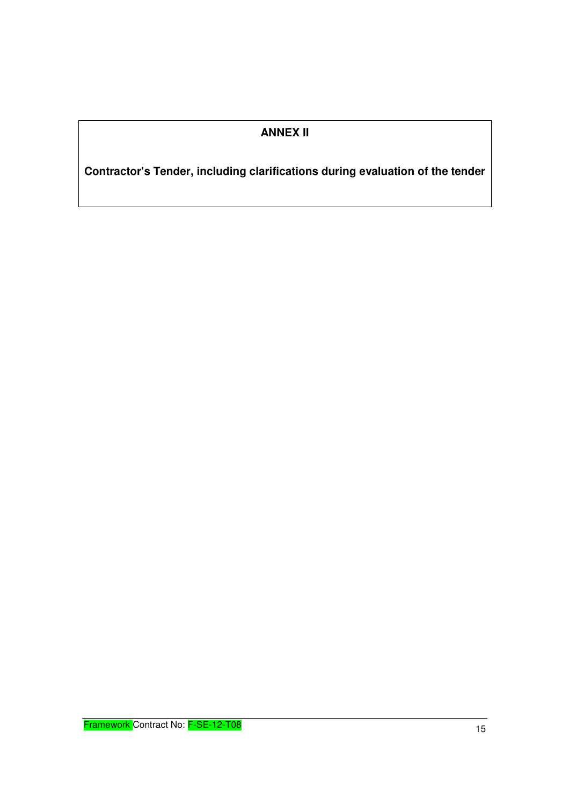## **ANNEX II**

**Contractor's Tender, including clarifications during evaluation of the tender**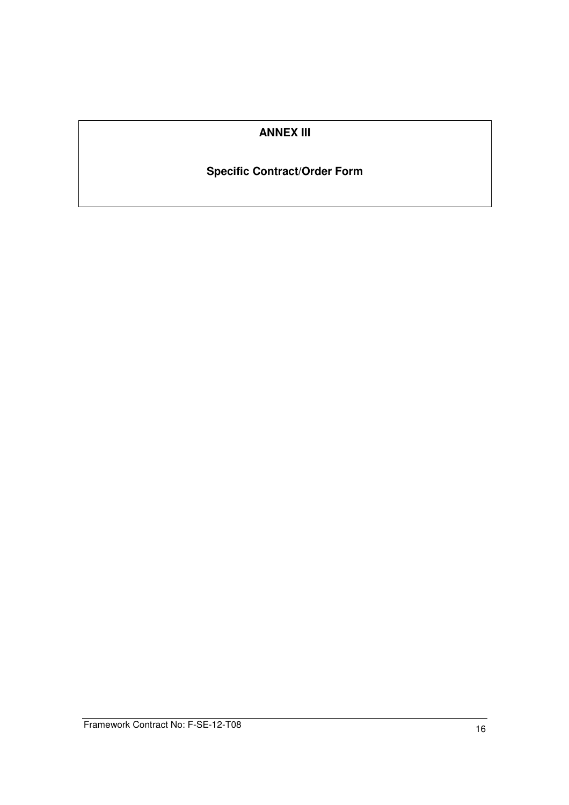## **ANNEX III**

## **Specific Contract/Order Form**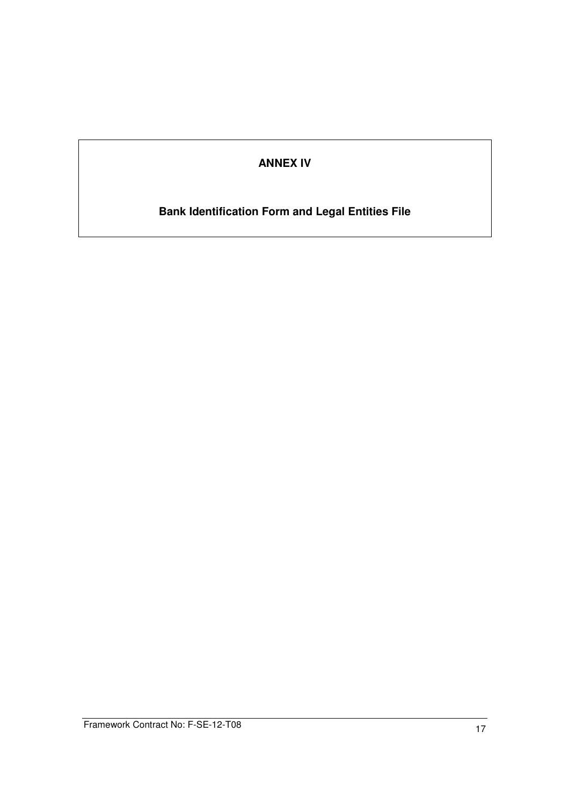## **ANNEX IV**

# **Bank Identification Form and Legal Entities File**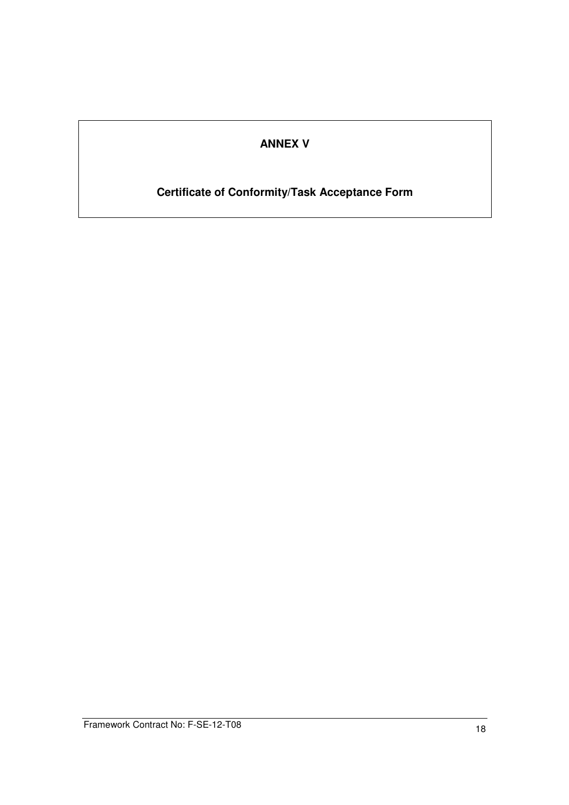# **ANNEX V**

## **Certificate of Conformity/Task Acceptance Form**